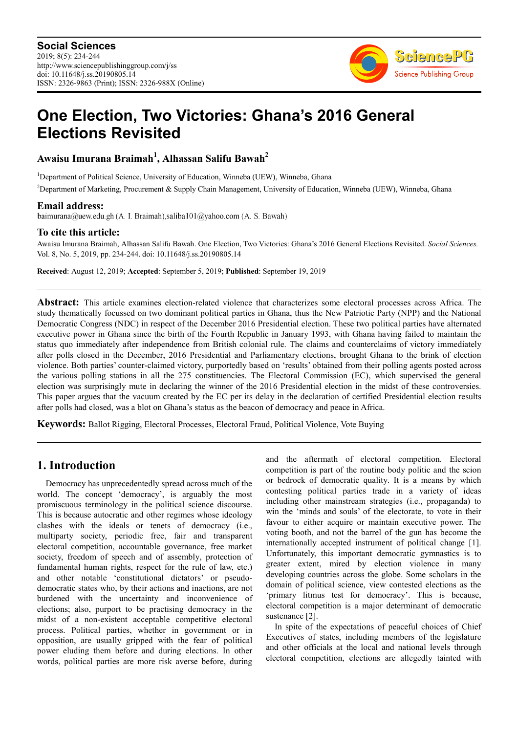

# **One Election, Two Victories: Ghana's 2016 General Elections Revisited**

## **Awaisu Imurana Braimah<sup>1</sup> , Alhassan Salifu Bawah<sup>2</sup>**

<sup>1</sup>Department of Political Science, University of Education, Winneba (UEW), Winneba, Ghana

<sup>2</sup>Department of Marketing, Procurement & Supply Chain Management, University of Education, Winneba (UEW), Winneba, Ghana

**Email address:**<br>baimurana@uew.edu.gh (A. I. Braimah), saliba101@yahoo.com (A. S. Bawah)

#### **To cite this article:**

Awaisu Imurana Braimah, Alhassan Salifu Bawah. One Election, Two Victories: Ghana's 2016 General Elections Revisited. *Social Sciences.*  Vol. 8, No. 5, 2019, pp. 234-244. doi: 10.11648/j.ss.20190805.14

**Received**: August 12, 2019; **Accepted**: September 5, 2019; **Published**: September 19, 2019

**Abstract:** This article examines election-related violence that characterizes some electoral processes across Africa. The study thematically focussed on two dominant political parties in Ghana, thus the New Patriotic Party (NPP) and the National Democratic Congress (NDC) in respect of the December 2016 Presidential election. These two political parties have alternated executive power in Ghana since the birth of the Fourth Republic in January 1993, with Ghana having failed to maintain the status quo immediately after independence from British colonial rule. The claims and counterclaims of victory immediately after polls closed in the December, 2016 Presidential and Parliamentary elections, brought Ghana to the brink of election violence. Both parties' counter-claimed victory, purportedly based on 'results' obtained from their polling agents posted across the various polling stations in all the 275 constituencies. The Electoral Commission (EC), which supervised the general election was surprisingly mute in declaring the winner of the 2016 Presidential election in the midst of these controversies. This paper argues that the vacuum created by the EC per its delay in the declaration of certified Presidential election results after polls had closed, was a blot on Ghana's status as the beacon of democracy and peace in Africa.

**Keywords:** Ballot Rigging, Electoral Processes, Electoral Fraud, Political Violence, Vote Buying

## **1. Introduction**

Democracy has unprecedentedly spread across much of the world. The concept 'democracy', is arguably the most promiscuous terminology in the political science discourse. This is because autocratic and other regimes whose ideology clashes with the ideals or tenets of democracy (i.e., multiparty society, periodic free, fair and transparent electoral competition, accountable governance, free market society, freedom of speech and of assembly, protection of fundamental human rights, respect for the rule of law, etc.) and other notable 'constitutional dictators' or pseudodemocratic states who, by their actions and inactions, are not burdened with the uncertainty and inconvenience of elections; also, purport to be practising democracy in the midst of a non-existent acceptable competitive electoral process. Political parties, whether in government or in opposition, are usually gripped with the fear of political power eluding them before and during elections. In other words, political parties are more risk averse before, during

and the aftermath of electoral competition. Electoral competition is part of the routine body politic and the scion or bedrock of democratic quality. It is a means by which contesting political parties trade in a variety of ideas including other mainstream strategies (i.e., propaganda) to win the 'minds and souls' of the electorate, to vote in their favour to either acquire or maintain executive power. The voting booth, and not the barrel of the gun has become the internationally accepted instrument of political change [1]. Unfortunately, this important democratic gymnastics is to greater extent, mired by election violence in many developing countries across the globe. Some scholars in the domain of political science, view contested elections as the 'primary litmus test for democracy'. This is because, electoral competition is a major determinant of democratic sustenance [2].

In spite of the expectations of peaceful choices of Chief Executives of states, including members of the legislature and other officials at the local and national levels through electoral competition, elections are allegedly tainted with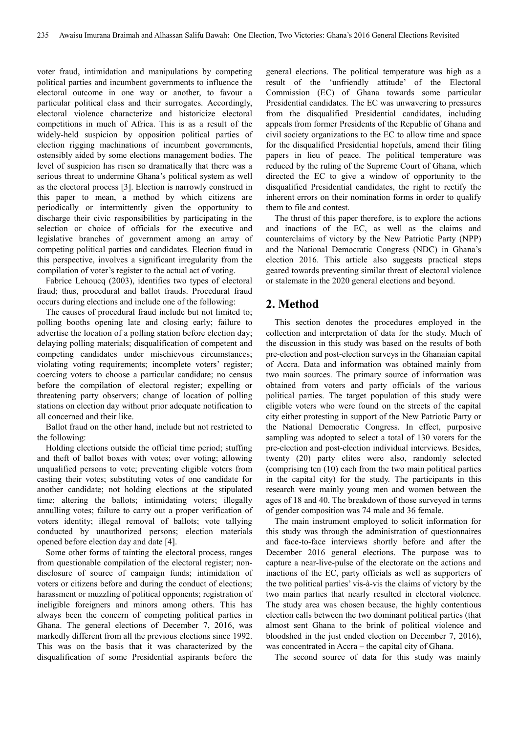voter fraud, intimidation and manipulations by competing political parties and incumbent governments to influence the electoral outcome in one way or another, to favour a particular political class and their surrogates. Accordingly, electoral violence characterize and historicize electoral competitions in much of Africa. This is as a result of the widely-held suspicion by opposition political parties of election rigging machinations of incumbent governments, ostensibly aided by some elections management bodies. The level of suspicion has risen so dramatically that there was a serious threat to undermine Ghana's political system as well as the electoral process [3]. Election is narrowly construed in this paper to mean, a method by which citizens are periodically or intermittently given the opportunity to discharge their civic responsibilities by participating in the selection or choice of officials for the executive and legislative branches of government among an array of competing political parties and candidates. Election fraud in this perspective, involves a significant irregularity from the compilation of voter's register to the actual act of voting.

Fabrice Lehoucq (2003), identifies two types of electoral fraud; thus, procedural and ballot frauds. Procedural fraud occurs during elections and include one of the following:

The causes of procedural fraud include but not limited to; polling booths opening late and closing early; failure to advertise the location of a polling station before election day; delaying polling materials; disqualification of competent and competing candidates under mischievous circumstances; violating voting requirements; incomplete voters' register; coercing voters to choose a particular candidate; no census before the compilation of electoral register; expelling or threatening party observers; change of location of polling stations on election day without prior adequate notification to all concerned and their like.

Ballot fraud on the other hand, include but not restricted to the following:

Holding elections outside the official time period; stuffing and theft of ballot boxes with votes; over voting; allowing unqualified persons to vote; preventing eligible voters from casting their votes; substituting votes of one candidate for another candidate; not holding elections at the stipulated time; altering the ballots; intimidating voters; illegally annulling votes; failure to carry out a proper verification of voters identity; illegal removal of ballots; vote tallying conducted by unauthorized persons; election materials opened before election day and date [4].

Some other forms of tainting the electoral process, ranges from questionable compilation of the electoral register; nondisclosure of source of campaign funds; intimidation of voters or citizens before and during the conduct of elections; harassment or muzzling of political opponents; registration of ineligible foreigners and minors among others. This has always been the concern of competing political parties in Ghana. The general elections of December 7, 2016, was markedly different from all the previous elections since 1992. This was on the basis that it was characterized by the disqualification of some Presidential aspirants before the

general elections. The political temperature was high as a result of the 'unfriendly attitude' of the Electoral Commission (EC) of Ghana towards some particular Presidential candidates. The EC was unwavering to pressures from the disqualified Presidential candidates, including appeals from former Presidents of the Republic of Ghana and civil society organizations to the EC to allow time and space for the disqualified Presidential hopefuls, amend their filing papers in lieu of peace. The political temperature was reduced by the ruling of the Supreme Court of Ghana, which directed the EC to give a window of opportunity to the disqualified Presidential candidates, the right to rectify the inherent errors on their nomination forms in order to qualify them to file and contest.

The thrust of this paper therefore, is to explore the actions and inactions of the EC, as well as the claims and counterclaims of victory by the New Patriotic Party (NPP) and the National Democratic Congress (NDC) in Ghana's election 2016. This article also suggests practical steps geared towards preventing similar threat of electoral violence or stalemate in the 2020 general elections and beyond.

## **2. Method**

This section denotes the procedures employed in the collection and interpretation of data for the study. Much of the discussion in this study was based on the results of both pre-election and post-election surveys in the Ghanaian capital of Accra. Data and information was obtained mainly from two main sources. The primary source of information was obtained from voters and party officials of the various political parties. The target population of this study were eligible voters who were found on the streets of the capital city either protesting in support of the New Patriotic Party or the National Democratic Congress. In effect, purposive sampling was adopted to select a total of 130 voters for the pre-election and post-election individual interviews. Besides, twenty (20) party elites were also, randomly selected (comprising ten (10) each from the two main political parties in the capital city) for the study. The participants in this research were mainly young men and women between the ages of 18 and 40. The breakdown of those surveyed in terms of gender composition was 74 male and 36 female.

The main instrument employed to solicit information for this study was through the administration of questionnaires and face-to-face interviews shortly before and after the December 2016 general elections. The purpose was to capture a near-live-pulse of the electorate on the actions and inactions of the EC, party officials as well as supporters of the two political parties' vis-à-vis the claims of victory by the two main parties that nearly resulted in electoral violence. The study area was chosen because, the highly contentious election calls between the two dominant political parties (that almost sent Ghana to the brink of political violence and bloodshed in the just ended election on December 7, 2016), was concentrated in Accra – the capital city of Ghana.

The second source of data for this study was mainly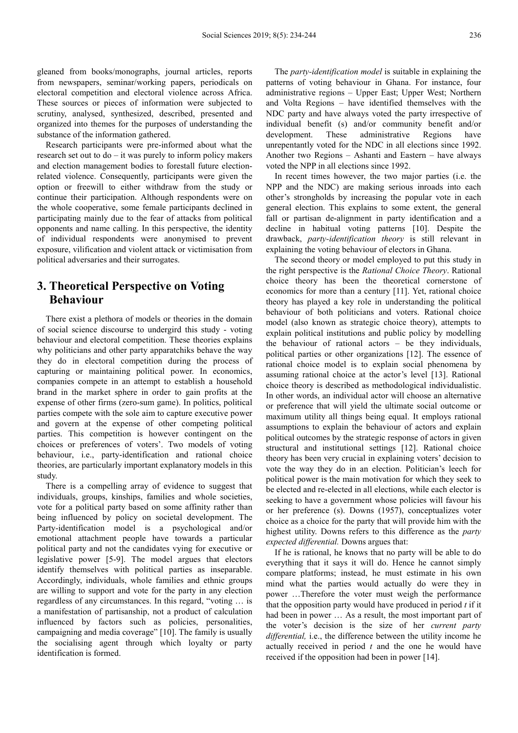gleaned from books/monographs, journal articles, reports from newspapers, seminar/working papers, periodicals on electoral competition and electoral violence across Africa. These sources or pieces of information were subjected to scrutiny, analysed, synthesized, described, presented and organized into themes for the purposes of understanding the substance of the information gathered.

Research participants were pre-informed about what the research set out to do – it was purely to inform policy makers and election management bodies to forestall future electionrelated violence. Consequently, participants were given the option or freewill to either withdraw from the study or continue their participation. Although respondents were on the whole cooperative, some female participants declined in participating mainly due to the fear of attacks from political opponents and name calling. In this perspective, the identity of individual respondents were anonymised to prevent exposure, vilification and violent attack or victimisation from political adversaries and their surrogates.

## **3. Theoretical Perspective on Voting Behaviour**

There exist a plethora of models or theories in the domain of social science discourse to undergird this study - voting behaviour and electoral competition. These theories explains why politicians and other party apparatchiks behave the way they do in electoral competition during the process of capturing or maintaining political power. In economics, companies compete in an attempt to establish a household brand in the market sphere in order to gain profits at the expense of other firms (zero-sum game). In politics, political parties compete with the sole aim to capture executive power and govern at the expense of other competing political parties. This competition is however contingent on the choices or preferences of voters'. Two models of voting behaviour, i.e., party-identification and rational choice theories, are particularly important explanatory models in this study.

There is a compelling array of evidence to suggest that individuals, groups, kinships, families and whole societies, vote for a political party based on some affinity rather than being influenced by policy on societal development. The Party-identification model is a psychological and/or emotional attachment people have towards a particular political party and not the candidates vying for executive or legislative power [5-9]. The model argues that electors identify themselves with political parties as inseparable. Accordingly, individuals, whole families and ethnic groups are willing to support and vote for the party in any election regardless of any circumstances. In this regard, "voting … is a manifestation of partisanship, not a product of calculation influenced by factors such as policies, personalities, campaigning and media coverage" [10]. The family is usually the socialising agent through which loyalty or party identification is formed.

The *party-identification model* is suitable in explaining the patterns of voting behaviour in Ghana. For instance, four administrative regions – Upper East; Upper West; Northern and Volta Regions – have identified themselves with the NDC party and have always voted the party irrespective of individual benefit (s) and/or community benefit and/or development. These administrative Regions have unrepentantly voted for the NDC in all elections since 1992. Another two Regions – Ashanti and Eastern – have always voted the NPP in all elections since 1992.

In recent times however, the two major parties (i.e. the NPP and the NDC) are making serious inroads into each other's strongholds by increasing the popular vote in each general election. This explains to some extent, the general fall or partisan de-alignment in party identification and a decline in habitual voting patterns [10]. Despite the drawback, *party-identification theory* is still relevant in explaining the voting behaviour of electors in Ghana.

The second theory or model employed to put this study in the right perspective is the *Rational Choice Theory*. Rational choice theory has been the theoretical cornerstone of economics for more than a century [11]. Yet, rational choice theory has played a key role in understanding the political behaviour of both politicians and voters. Rational choice model (also known as strategic choice theory), attempts to explain political institutions and public policy by modelling the behaviour of rational actors – be they individuals, political parties or other organizations [12]. The essence of rational choice model is to explain social phenomena by assuming rational choice at the actor's level [13]. Rational choice theory is described as methodological individualistic. In other words, an individual actor will choose an alternative or preference that will yield the ultimate social outcome or maximum utility all things being equal. It employs rational assumptions to explain the behaviour of actors and explain political outcomes by the strategic response of actors in given structural and institutional settings [12]. Rational choice theory has been very crucial in explaining voters' decision to vote the way they do in an election. Politician's leech for political power is the main motivation for which they seek to be elected and re-elected in all elections, while each elector is seeking to have a government whose policies will favour his or her preference (s). Downs (1957), conceptualizes voter choice as a choice for the party that will provide him with the highest utility. Downs refers to this difference as the *party expected differential.* Downs argues that:

If he is rational, he knows that no party will be able to do everything that it says it will do. Hence he cannot simply compare platforms; instead, he must estimate in his own mind what the parties would actually do were they in power …Therefore the voter must weigh the performance that the opposition party would have produced in period *t* if it had been in power ... As a result, the most important part of the voter's decision is the size of her *current party differential,* i.e., the difference between the utility income he actually received in period *t* and the one he would have received if the opposition had been in power [14].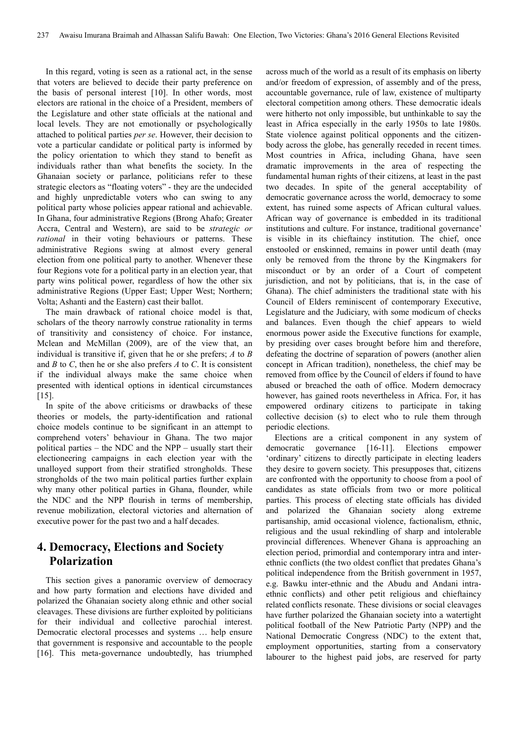In this regard, voting is seen as a rational act, in the sense that voters are believed to decide their party preference on the basis of personal interest [10]. In other words, most electors are rational in the choice of a President, members of the Legislature and other state officials at the national and local levels. They are not emotionally or psychologically attached to political parties *per se*. However, their decision to vote a particular candidate or political party is informed by the policy orientation to which they stand to benefit as individuals rather than what benefits the society. In the Ghanaian society or parlance, politicians refer to these strategic electors as "floating voters" - they are the undecided and highly unpredictable voters who can swing to any political party whose policies appear rational and achievable. In Ghana, four administrative Regions (Brong Ahafo; Greater Accra, Central and Western), are said to be *strategic or rational* in their voting behaviours or patterns. These administrative Regions swing at almost every general election from one political party to another. Whenever these four Regions vote for a political party in an election year, that party wins political power, regardless of how the other six administrative Regions (Upper East; Upper West; Northern; Volta; Ashanti and the Eastern) cast their ballot.

The main drawback of rational choice model is that, scholars of the theory narrowly construe rationality in terms of transitivity and consistency of choice. For instance, Mclean and McMillan (2009), are of the view that, an individual is transitive if, given that he or she prefers; *A* to *B* and *B* to *C*, then he or she also prefers *A* to *C*. It is consistent if the individual always make the same choice when presented with identical options in identical circumstances [15].

In spite of the above criticisms or drawbacks of these theories or models, the party-identification and rational choice models continue to be significant in an attempt to comprehend voters' behaviour in Ghana. The two major political parties – the NDC and the NPP – usually start their electioneering campaigns in each election year with the unalloyed support from their stratified strongholds. These strongholds of the two main political parties further explain why many other political parties in Ghana, flounder, while the NDC and the NPP flourish in terms of membership, revenue mobilization, electoral victories and alternation of executive power for the past two and a half decades.

## **4. Democracy, Elections and Society Polarization**

This section gives a panoramic overview of democracy and how party formation and elections have divided and polarized the Ghanaian society along ethnic and other social cleavages. These divisions are further exploited by politicians for their individual and collective parochial interest. Democratic electoral processes and systems … help ensure that government is responsive and accountable to the people [16]. This meta-governance undoubtedly, has triumphed across much of the world as a result of its emphasis on liberty and/or freedom of expression, of assembly and of the press, accountable governance, rule of law, existence of multiparty electoral competition among others. These democratic ideals were hitherto not only impossible, but unthinkable to say the least in Africa especially in the early 1950s to late 1980s. State violence against political opponents and the citizenbody across the globe, has generally receded in recent times. Most countries in Africa, including Ghana, have seen dramatic improvements in the area of respecting the fundamental human rights of their citizens, at least in the past two decades. In spite of the general acceptability of democratic governance across the world, democracy to some extent, has ruined some aspects of African cultural values. African way of governance is embedded in its traditional institutions and culture. For instance, traditional governance' is visible in its chieftaincy institution. The chief, once enstooled or enskinned, remains in power until death (may only be removed from the throne by the Kingmakers for misconduct or by an order of a Court of competent jurisdiction, and not by politicians, that is, in the case of Ghana). The chief administers the traditional state with his Council of Elders reminiscent of contemporary Executive, Legislature and the Judiciary, with some modicum of checks and balances. Even though the chief appears to wield enormous power aside the Executive functions for example, by presiding over cases brought before him and therefore, defeating the doctrine of separation of powers (another alien concept in African tradition), nonetheless, the chief may be removed from office by the Council of elders if found to have abused or breached the oath of office. Modern democracy however, has gained roots nevertheless in Africa. For, it has empowered ordinary citizens to participate in taking collective decision (s) to elect who to rule them through periodic elections.

Elections are a critical component in any system of democratic governance [16-11]. Elections empower 'ordinary' citizens to directly participate in electing leaders they desire to govern society. This presupposes that, citizens are confronted with the opportunity to choose from a pool of candidates as state officials from two or more political parties. This process of electing state officials has divided and polarized the Ghanaian society along extreme partisanship, amid occasional violence, factionalism, ethnic, religious and the usual rekindling of sharp and intolerable provincial differences. Whenever Ghana is approaching an election period, primordial and contemporary intra and interethnic conflicts (the two oldest conflict that predates Ghana's political independence from the British government in 1957, e.g. Bawku inter-ethnic and the Abudu and Andani intraethnic conflicts) and other petit religious and chieftaincy related conflicts resonate. These divisions or social cleavages have further polarized the Ghanaian society into a watertight political football of the New Patriotic Party (NPP) and the National Democratic Congress (NDC) to the extent that, employment opportunities, starting from a conservatory labourer to the highest paid jobs, are reserved for party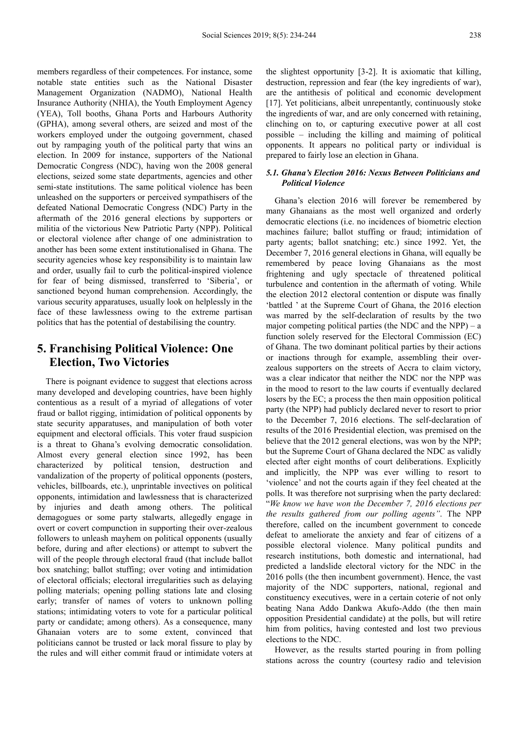members regardless of their competences. For instance, some notable state entities such as the National Disaster Management Organization (NADMO), National Health Insurance Authority (NHIA), the Youth Employment Agency (YEA), Toll booths, Ghana Ports and Harbours Authority (GPHA), among several others, are seized and most of the workers employed under the outgoing government, chased out by rampaging youth of the political party that wins an election. In 2009 for instance, supporters of the National Democratic Congress (NDC), having won the 2008 general elections, seized some state departments, agencies and other semi-state institutions. The same political violence has been unleashed on the supporters or perceived sympathisers of the defeated National Democratic Congress (NDC) Party in the aftermath of the 2016 general elections by supporters or militia of the victorious New Patriotic Party (NPP). Political or electoral violence after change of one administration to another has been some extent institutionalised in Ghana. The security agencies whose key responsibility is to maintain law and order, usually fail to curb the political-inspired violence for fear of being dismissed, transferred to 'Siberia', or sanctioned beyond human comprehension. Accordingly, the various security apparatuses, usually look on helplessly in the face of these lawlessness owing to the extreme partisan politics that has the potential of destabilising the country.

## **5. Franchising Political Violence: One Election, Two Victories**

There is poignant evidence to suggest that elections across many developed and developing countries, have been highly contentious as a result of a myriad of allegations of voter fraud or ballot rigging, intimidation of political opponents by state security apparatuses, and manipulation of both voter equipment and electoral officials. This voter fraud suspicion is a threat to Ghana's evolving democratic consolidation. Almost every general election since 1992, has been characterized by political tension, destruction and vandalization of the property of political opponents (posters, vehicles, billboards, etc.), unprintable invectives on political opponents, intimidation and lawlessness that is characterized by injuries and death among others. The political demagogues or some party stalwarts, allegedly engage in overt or covert compunction in supporting their over-zealous followers to unleash mayhem on political opponents (usually before, during and after elections) or attempt to subvert the will of the people through electoral fraud (that include ballot box snatching; ballot stuffing; over voting and intimidation of electoral officials; electoral irregularities such as delaying polling materials; opening polling stations late and closing early; transfer of names of voters to unknown polling stations; intimidating voters to vote for a particular political party or candidate; among others). As a consequence, many Ghanaian voters are to some extent, convinced that politicians cannot be trusted or lack moral fissure to play by the rules and will either commit fraud or intimidate voters at the slightest opportunity [3-2]. It is axiomatic that killing, destruction, repression and fear (the key ingredients of war), are the antithesis of political and economic development [17]. Yet politicians, albeit unrepentantly, continuously stoke the ingredients of war, and are only concerned with retaining, clinching on to, or capturing executive power at all cost possible – including the killing and maiming of political opponents. It appears no political party or individual is prepared to fairly lose an election in Ghana.

#### *5.1. Ghana's Election 2016: Nexus Between Politicians and Political Violence*

Ghana's election 2016 will forever be remembered by many Ghanaians as the most well organized and orderly democratic elections (i.e. no incidences of biometric election machines failure; ballot stuffing or fraud; intimidation of party agents; ballot snatching; etc.) since 1992. Yet, the December 7, 2016 general elections in Ghana, will equally be remembered by peace loving Ghanaians as the most frightening and ugly spectacle of threatened political turbulence and contention in the aftermath of voting. While the election 2012 electoral contention or dispute was finally 'battled ' at the Supreme Court of Ghana, the 2016 election was marred by the self-declaration of results by the two major competing political parties (the NDC and the NPP) – a function solely reserved for the Electoral Commission (EC) of Ghana. The two dominant political parties by their actions or inactions through for example, assembling their overzealous supporters on the streets of Accra to claim victory, was a clear indicator that neither the NDC nor the NPP was in the mood to resort to the law courts if eventually declared losers by the EC; a process the then main opposition political party (the NPP) had publicly declared never to resort to prior to the December 7, 2016 elections. The self-declaration of results of the 2016 Presidential election, was premised on the believe that the 2012 general elections, was won by the NPP; but the Supreme Court of Ghana declared the NDC as validly elected after eight months of court deliberations. Explicitly and implicitly, the NPP was ever willing to resort to 'violence' and not the courts again if they feel cheated at the polls. It was therefore not surprising when the party declared: "*We know we have won the December 7, 2016 elections per the results gathered from our polling agents"*. The NPP therefore, called on the incumbent government to concede defeat to ameliorate the anxiety and fear of citizens of a possible electoral violence. Many political pundits and research institutions, both domestic and international, had predicted a landslide electoral victory for the NDC in the 2016 polls (the then incumbent government). Hence, the vast majority of the NDC supporters, national, regional and constituency executives, were in a certain coterie of not only beating Nana Addo Dankwa Akufo-Addo (the then main opposition Presidential candidate) at the polls, but will retire him from politics, having contested and lost two previous elections to the NDC.

However, as the results started pouring in from polling stations across the country (courtesy radio and television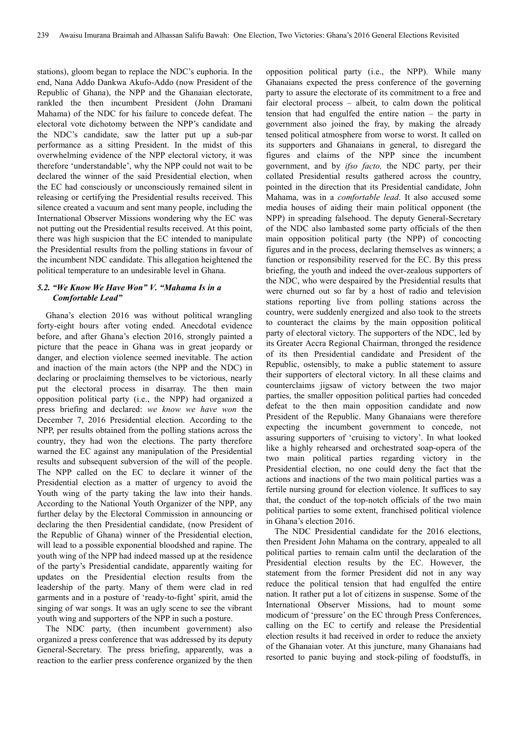stations), gloom began to replace the NDC's euphoria. In the end, Nana Addo Dankwa Akufo-Addo (now President of the Republic of Ghana), the NPP and the Ghanaian electorate, rankled the then incumbent President (John Dramani Mahama) of the NDC for his failure to concede defeat. The electoral vote dichotomy between the NPP's candidate and the NDC's candidate, saw the latter put up a sub-par performance as a sitting President. In the midst of this overwhelming evidence of the NPP electoral victory, it was therefore 'understandable', why the NPP could not wait to be declared the winner of the said Presidential election, when the EC had consciously or unconsciously remained silent in releasing or certifying the Presidential results received. This silence created a vacuum and sent many people, including the International Observer Missions wondering why the EC was not putting out the Presidential results received. At this point, there was high suspicion that the EC intended to manipulate the Presidential results from the polling stations in favour of the incumbent NDC candidate. This allegation heightened the political temperature to an undesirable level in Ghana.

#### *5.2. "We Know We Have Won" V. "Mahama Is in a Comfortable Lead"*

Ghana's election 2016 was without political wrangling forty-eight hours after voting ended. Anecdotal evidence before, and after Ghana's election 2016, strongly painted a picture that the peace in Ghana was in great jeopardy or danger, and election violence seemed inevitable. The action and inaction of the main actors (the NPP and the NDC) in declaring or proclaiming themselves to be victorious, nearly put the electoral process in disarray. The then main opposition political party (i.e., the NPP) had organized a press briefing and declared: *we know we have won* the December 7, 2016 Presidential election. According to the NPP, per results obtained from the polling stations across the country, they had won the elections. The party therefore warned the EC against any manipulation of the Presidential results and subsequent subversion of the will of the people. The NPP called on the EC to declare it winner of the Presidential election as a matter of urgency to avoid the Youth wing of the party taking the law into their hands. According to the National Youth Organizer of the NPP, any further delay by the Electoral Commission in announcing or declaring the then Presidential candidate, (now President of the Republic of Ghana) winner of the Presidential election, will lead to a possible exponential bloodshed and rapine. The youth wing of the NPP had indeed massed up at the residence of the party's Presidential candidate, apparently waiting for updates on the Presidential election results from the leadership of the party. Many of them were clad in red garments and in a posture of 'ready-to-fight' spirit, amid the singing of war songs. It was an ugly scene to see the vibrant youth wing and supporters of the NPP in such a posture.

The NDC party, (then incumbent government) also organized a press conference that was addressed by its deputy General-Secretary. The press briefing, apparently, was a reaction to the earlier press conference organized by the then opposition political party (i.e., the NPP). While many Ghanaians expected the press conference of the governing party to assure the electorate of its commitment to a free and fair electoral process – albeit, to calm down the political tension that had engulfed the entire nation – the party in government also joined the fray, by making the already tensed political atmosphere from worse to worst. It called on its supporters and Ghanaians in general, to disregard the figures and claims of the NPP since the incumbent government, and by *ifso facto,* the NDC party, per their collated Presidential results gathered across the country, pointed in the direction that its Presidential candidate, John Mahama, was in a *comfortable lead*. It also accused some media houses of aiding their main political opponent (the NPP) in spreading falsehood. The deputy General-Secretary of the NDC also lambasted some party officials of the then main opposition political party (the NPP) of concocting figures and in the process, declaring themselves as winners; a function or responsibility reserved for the EC. By this press briefing, the youth and indeed the over-zealous supporters of the NDC, who were despaired by the Presidential results that were churned out so far by a host of radio and television stations reporting live from polling stations across the country, were suddenly energized and also took to the streets to counteract the claims by the main opposition political party of electoral victory. The supporters of the NDC, led by its Greater Accra Regional Chairman, thronged the residence of its then Presidential candidate and President of the Republic, ostensibly, to make a public statement to assure their supporters of electoral victory. In all these claims and counterclaims jigsaw of victory between the two major parties, the smaller opposition political parties had conceded defeat to the then main opposition candidate and now President of the Republic. Many Ghanaians were therefore expecting the incumbent government to concede, not assuring supporters of 'cruising to victory'. In what looked like a highly rehearsed and orchestrated soap-opera of the two main political parties regarding victory in the Presidential election, no one could deny the fact that the actions and inactions of the two main political parties was a fertile nursing ground for election violence. It suffices to say that, the conduct of the top-notch officials of the two main political parties to some extent, franchised political violence in Ghana's election 2016.

The NDC Presidential candidate for the 2016 elections, then President John Mahama on the contrary, appealed to all political parties to remain calm until the declaration of the Presidential election results by the EC. However, the statement from the former President did not in any way reduce the political tension that had engulfed the entire nation. It rather put a lot of citizens in suspense. Some of the International Observer Missions, had to mount some modicum of 'pressure' on the EC through Press Conferences, calling on the EC to certify and release the Presidential election results it had received in order to reduce the anxiety of the Ghanaian voter. At this juncture, many Ghanaians had resorted to panic buying and stock-piling of foodstuffs, in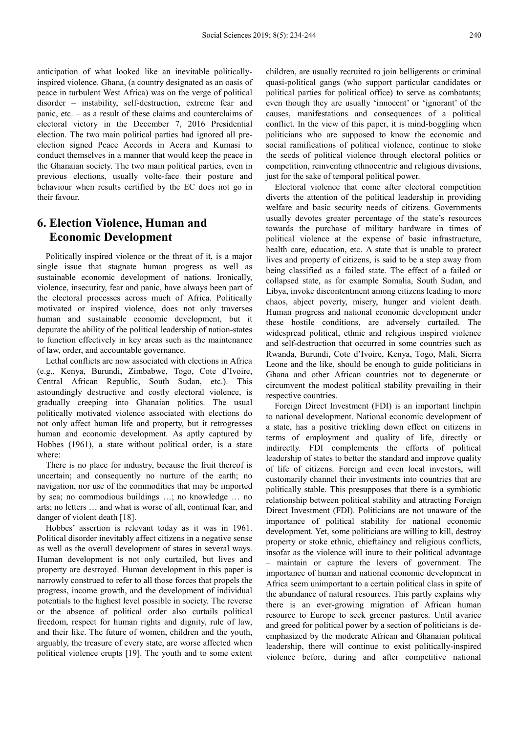anticipation of what looked like an inevitable politicallyinspired violence. Ghana, (a country designated as an oasis of peace in turbulent West Africa) was on the verge of political disorder – instability, self-destruction, extreme fear and panic, etc. – as a result of these claims and counterclaims of electoral victory in the December 7, 2016 Presidential election. The two main political parties had ignored all preelection signed Peace Accords in Accra and Kumasi to conduct themselves in a manner that would keep the peace in the Ghanaian society. The two main political parties, even in previous elections, usually volte-face their posture and behaviour when results certified by the EC does not go in their favour.

## **6. Election Violence, Human and Economic Development**

Politically inspired violence or the threat of it, is a major single issue that stagnate human progress as well as sustainable economic development of nations. Ironically, violence, insecurity, fear and panic, have always been part of the electoral processes across much of Africa. Politically motivated or inspired violence, does not only traverses human and sustainable economic development, but it depurate the ability of the political leadership of nation-states to function effectively in key areas such as the maintenance of law, order, and accountable governance.

Lethal conflicts are now associated with elections in Africa (e.g., Kenya, Burundi, Zimbabwe, Togo, Cote d'Ivoire, Central African Republic, South Sudan, etc.). This astoundingly destructive and costly electoral violence, is gradually creeping into Ghanaian politics. The usual politically motivated violence associated with elections do not only affect human life and property, but it retrogresses human and economic development. As aptly captured by Hobbes (1961), a state without political order, is a state where:

There is no place for industry, because the fruit thereof is uncertain; and consequently no nurture of the earth; no navigation, nor use of the commodities that may be imported by sea; no commodious buildings …; no knowledge … no arts; no letters … and what is worse of all, continual fear, and danger of violent death [18].

Hobbes' assertion is relevant today as it was in 1961. Political disorder inevitably affect citizens in a negative sense as well as the overall development of states in several ways. Human development is not only curtailed, but lives and property are destroyed. Human development in this paper is narrowly construed to refer to all those forces that propels the progress, income growth, and the development of individual potentials to the highest level possible in society. The reverse or the absence of political order also curtails political freedom, respect for human rights and dignity, rule of law, and their like. The future of women, children and the youth, arguably, the treasure of every state, are worse affected when political violence erupts [19]. The youth and to some extent children, are usually recruited to join belligerents or criminal quasi-political gangs (who support particular candidates or political parties for political office) to serve as combatants; even though they are usually 'innocent' or 'ignorant' of the causes, manifestations and consequences of a political conflict. In the view of this paper, it is mind-boggling when politicians who are supposed to know the economic and social ramifications of political violence, continue to stoke the seeds of political violence through electoral politics or competition, reinventing ethnocentric and religious divisions, just for the sake of temporal political power.

Electoral violence that come after electoral competition diverts the attention of the political leadership in providing welfare and basic security needs of citizens. Governments usually devotes greater percentage of the state's resources towards the purchase of military hardware in times of political violence at the expense of basic infrastructure, health care, education, etc. A state that is unable to protect lives and property of citizens, is said to be a step away from being classified as a failed state. The effect of a failed or collapsed state, as for example Somalia, South Sudan, and Libya, invoke discontentment among citizens leading to more chaos, abject poverty, misery, hunger and violent death. Human progress and national economic development under these hostile conditions, are adversely curtailed. The widespread political, ethnic and religious inspired violence and self-destruction that occurred in some countries such as Rwanda, Burundi, Cote d'Ivoire, Kenya, Togo, Mali, Sierra Leone and the like, should be enough to guide politicians in Ghana and other African countries not to degenerate or circumvent the modest political stability prevailing in their respective countries.

Foreign Direct Investment (FDI) is an important linchpin to national development. National economic development of a state, has a positive trickling down effect on citizens in terms of employment and quality of life, directly or indirectly. FDI complements the efforts of political leadership of states to better the standard and improve quality of life of citizens. Foreign and even local investors, will customarily channel their investments into countries that are politically stable. This presupposes that there is a symbiotic relationship between political stability and attracting Foreign Direct Investment (FDI). Politicians are not unaware of the importance of political stability for national economic development. Yet, some politicians are willing to kill, destroy property or stoke ethnic, chieftaincy and religious conflicts, insofar as the violence will inure to their political advantage – maintain or capture the levers of government. The importance of human and national economic development in Africa seem unimportant to a certain political class in spite of the abundance of natural resources. This partly explains why there is an ever-growing migration of African human resource to Europe to seek greener pastures. Until avarice and greed for political power by a section of politicians is deemphasized by the moderate African and Ghanaian political leadership, there will continue to exist politically-inspired violence before, during and after competitive national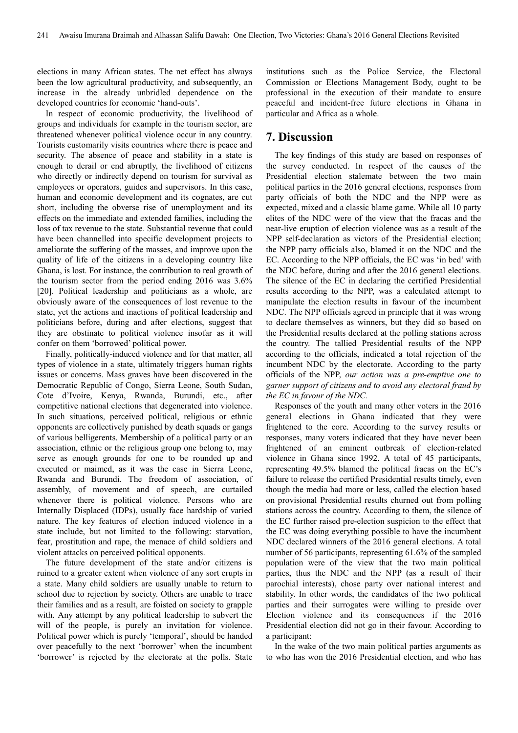elections in many African states. The net effect has always been the low agricultural productivity, and subsequently, an increase in the already unbridled dependence on the developed countries for economic 'hand-outs'.

In respect of economic productivity, the livelihood of groups and individuals for example in the tourism sector, are threatened whenever political violence occur in any country. Tourists customarily visits countries where there is peace and security. The absence of peace and stability in a state is enough to derail or end abruptly, the livelihood of citizens who directly or indirectly depend on tourism for survival as employees or operators, guides and supervisors. In this case, human and economic development and its cognates, are cut short, including the obverse rise of unemployment and its effects on the immediate and extended families, including the loss of tax revenue to the state. Substantial revenue that could have been channelled into specific development projects to ameliorate the suffering of the masses, and improve upon the quality of life of the citizens in a developing country like Ghana, is lost. For instance, the contribution to real growth of the tourism sector from the period ending 2016 was 3.6% [20]. Political leadership and politicians as a whole, are obviously aware of the consequences of lost revenue to the state, yet the actions and inactions of political leadership and politicians before, during and after elections, suggest that they are obstinate to political violence insofar as it will confer on them 'borrowed' political power.

Finally, politically-induced violence and for that matter, all types of violence in a state, ultimately triggers human rights issues or concerns. Mass graves have been discovered in the Democratic Republic of Congo, Sierra Leone, South Sudan, Cote d'Ivoire, Kenya, Rwanda, Burundi, etc., after competitive national elections that degenerated into violence. In such situations, perceived political, religious or ethnic opponents are collectively punished by death squads or gangs of various belligerents. Membership of a political party or an association, ethnic or the religious group one belong to, may serve as enough grounds for one to be rounded up and executed or maimed, as it was the case in Sierra Leone, Rwanda and Burundi. The freedom of association, of assembly, of movement and of speech, are curtailed whenever there is political violence. Persons who are Internally Displaced (IDPs), usually face hardship of varied nature. The key features of election induced violence in a state include, but not limited to the following: starvation, fear, prostitution and rape, the menace of child soldiers and violent attacks on perceived political opponents.

The future development of the state and/or citizens is ruined to a greater extent when violence of any sort erupts in a state. Many child soldiers are usually unable to return to school due to rejection by society. Others are unable to trace their families and as a result, are foisted on society to grapple with. Any attempt by any political leadership to subvert the will of the people, is purely an invitation for violence. Political power which is purely 'temporal', should be handed over peacefully to the next 'borrower' when the incumbent 'borrower' is rejected by the electorate at the polls. State institutions such as the Police Service, the Electoral Commission or Elections Management Body, ought to be professional in the execution of their mandate to ensure peaceful and incident-free future elections in Ghana in particular and Africa as a whole.

#### **7. Discussion**

The key findings of this study are based on responses of the survey conducted. In respect of the causes of the Presidential election stalemate between the two main political parties in the 2016 general elections, responses from party officials of both the NDC and the NPP were as expected, mixed and a classic blame game. While all 10 party elites of the NDC were of the view that the fracas and the near-live eruption of election violence was as a result of the NPP self-declaration as victors of the Presidential election; the NPP party officials also, blamed it on the NDC and the EC. According to the NPP officials, the EC was 'in bed' with the NDC before, during and after the 2016 general elections. The silence of the EC in declaring the certified Presidential results according to the NPP, was a calculated attempt to manipulate the election results in favour of the incumbent NDC. The NPP officials agreed in principle that it was wrong to declare themselves as winners, but they did so based on the Presidential results declared at the polling stations across the country. The tallied Presidential results of the NPP according to the officials, indicated a total rejection of the incumbent NDC by the electorate. According to the party officials of the NPP, *our action was a pre-emptive one to garner support of citizens and to avoid any electoral fraud by the EC in favour of the NDC.* 

Responses of the youth and many other voters in the 2016 general elections in Ghana indicated that they were frightened to the core. According to the survey results or responses, many voters indicated that they have never been frightened of an eminent outbreak of election-related violence in Ghana since 1992. A total of 45 participants, representing 49.5% blamed the political fracas on the EC's failure to release the certified Presidential results timely, even though the media had more or less, called the election based on provisional Presidential results churned out from polling stations across the country. According to them, the silence of the EC further raised pre-election suspicion to the effect that the EC was doing everything possible to have the incumbent NDC declared winners of the 2016 general elections. A total number of 56 participants, representing 61.6% of the sampled population were of the view that the two main political parties, thus the NDC and the NPP (as a result of their parochial interests), chose party over national interest and stability. In other words, the candidates of the two political parties and their surrogates were willing to preside over Election violence and its consequences if the 2016 Presidential election did not go in their favour. According to a participant:

In the wake of the two main political parties arguments as to who has won the 2016 Presidential election, and who has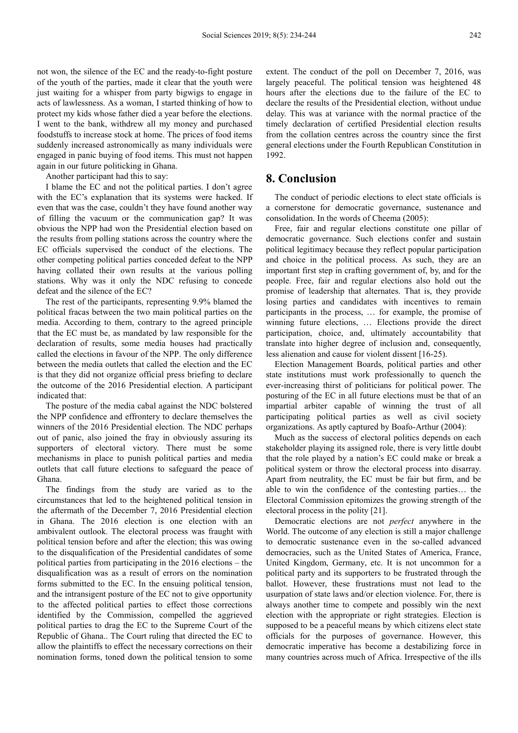not won, the silence of the EC and the ready-to-fight posture of the youth of the parties, made it clear that the youth were just waiting for a whisper from party bigwigs to engage in acts of lawlessness. As a woman, I started thinking of how to protect my kids whose father died a year before the elections. I went to the bank, withdrew all my money and purchased foodstuffs to increase stock at home. The prices of food items suddenly increased astronomically as many individuals were engaged in panic buying of food items. This must not happen again in our future politicking in Ghana.

Another participant had this to say:

I blame the EC and not the political parties. I don't agree with the EC's explanation that its systems were hacked. If even that was the case, couldn't they have found another way of filling the vacuum or the communication gap? It was obvious the NPP had won the Presidential election based on the results from polling stations across the country where the EC officials supervised the conduct of the elections. The other competing political parties conceded defeat to the NPP having collated their own results at the various polling stations. Why was it only the NDC refusing to concede defeat and the silence of the EC?

The rest of the participants, representing 9.9% blamed the political fracas between the two main political parties on the media. According to them, contrary to the agreed principle that the EC must be, as mandated by law responsible for the declaration of results, some media houses had practically called the elections in favour of the NPP. The only difference between the media outlets that called the election and the EC is that they did not organize official press briefing to declare the outcome of the 2016 Presidential election. A participant indicated that:

The posture of the media cabal against the NDC bolstered the NPP confidence and effrontery to declare themselves the winners of the 2016 Presidential election. The NDC perhaps out of panic, also joined the fray in obviously assuring its supporters of electoral victory. There must be some mechanisms in place to punish political parties and media outlets that call future elections to safeguard the peace of Ghana.

The findings from the study are varied as to the circumstances that led to the heightened political tension in the aftermath of the December 7, 2016 Presidential election in Ghana. The 2016 election is one election with an ambivalent outlook. The electoral process was fraught with political tension before and after the election; this was owing to the disqualification of the Presidential candidates of some political parties from participating in the 2016 elections – the disqualification was as a result of errors on the nomination forms submitted to the EC. In the ensuing political tension, and the intransigent posture of the EC not to give opportunity to the affected political parties to effect those corrections identified by the Commission, compelled the aggrieved political parties to drag the EC to the Supreme Court of the Republic of Ghana.. The Court ruling that directed the EC to allow the plaintiffs to effect the necessary corrections on their nomination forms, toned down the political tension to some

extent. The conduct of the poll on December 7, 2016, was largely peaceful. The political tension was heightened 48 hours after the elections due to the failure of the EC to declare the results of the Presidential election, without undue delay. This was at variance with the normal practice of the timely declaration of certified Presidential election results from the collation centres across the country since the first general elections under the Fourth Republican Constitution in 1992.

### **8. Conclusion**

The conduct of periodic elections to elect state officials is a cornerstone for democratic governance, sustenance and consolidation. In the words of Cheema (2005):

Free, fair and regular elections constitute one pillar of democratic governance. Such elections confer and sustain political legitimacy because they reflect popular participation and choice in the political process. As such, they are an important first step in crafting government of, by, and for the people. Free, fair and regular elections also hold out the promise of leadership that alternates. That is, they provide losing parties and candidates with incentives to remain participants in the process, … for example, the promise of winning future elections, … Elections provide the direct participation, choice, and, ultimately accountability that translate into higher degree of inclusion and, consequently, less alienation and cause for violent dissent [16-25).

Election Management Boards, political parties and other state institutions must work professionally to quench the ever-increasing thirst of politicians for political power. The posturing of the EC in all future elections must be that of an impartial arbiter capable of winning the trust of all participating political parties as well as civil society organizations. As aptly captured by Boafo-Arthur (2004):

Much as the success of electoral politics depends on each stakeholder playing its assigned role, there is very little doubt that the role played by a nation's EC could make or break a political system or throw the electoral process into disarray. Apart from neutrality, the EC must be fair but firm, and be able to win the confidence of the contesting parties… the Electoral Commission epitomizes the growing strength of the electoral process in the polity [21].

Democratic elections are not *perfect* anywhere in the World. The outcome of any election is still a major challenge to democratic sustenance even in the so-called advanced democracies, such as the United States of America, France, United Kingdom, Germany, etc. It is not uncommon for a political party and its supporters to be frustrated through the ballot. However, these frustrations must not lead to the usurpation of state laws and/or election violence. For, there is always another time to compete and possibly win the next election with the appropriate or right strategies. Election is supposed to be a peaceful means by which citizens elect state officials for the purposes of governance. However, this democratic imperative has become a destabilizing force in many countries across much of Africa. Irrespective of the ills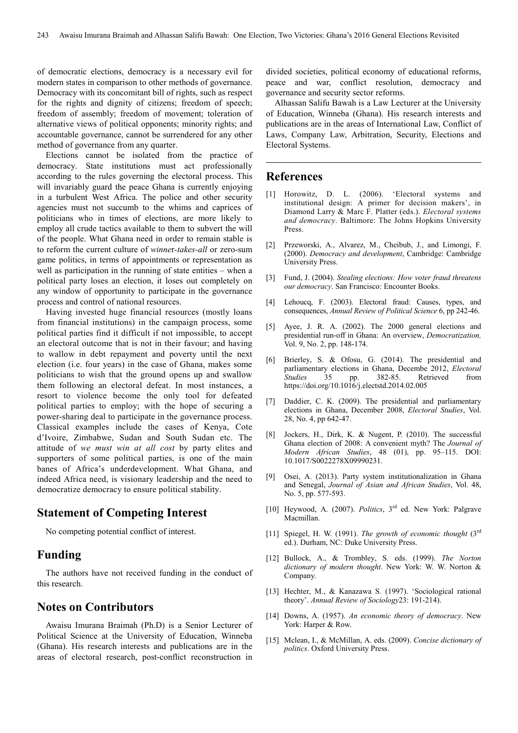of democratic elections, democracy is a necessary evil for modern states in comparison to other methods of governance. Democracy with its concomitant bill of rights, such as respect for the rights and dignity of citizens; freedom of speech; freedom of assembly; freedom of movement; toleration of alternative views of political opponents; minority rights; and accountable governance, cannot be surrendered for any other method of governance from any quarter.

Elections cannot be isolated from the practice of democracy. State institutions must act professionally according to the rules governing the electoral process. This will invariably guard the peace Ghana is currently enjoying in a turbulent West Africa. The police and other security agencies must not succumb to the whims and caprices of politicians who in times of elections, are more likely to employ all crude tactics available to them to subvert the will of the people. What Ghana need in order to remain stable is to reform the current culture of *winne*r*-takes-all* or zero-sum game politics, in terms of appointments or representation as well as participation in the running of state entities – when a political party loses an election, it loses out completely on any window of opportunity to participate in the governance process and control of national resources.

Having invested huge financial resources (mostly loans from financial institutions) in the campaign process, some political parties find it difficult if not impossible, to accept an electoral outcome that is not in their favour; and having to wallow in debt repayment and poverty until the next election (i.e. four years) in the case of Ghana, makes some politicians to wish that the ground opens up and swallow them following an electoral defeat. In most instances, a resort to violence become the only tool for defeated political parties to employ; with the hope of securing a power-sharing deal to participate in the governance process. Classical examples include the cases of Kenya, Cote d'Ivoire, Zimbabwe, Sudan and South Sudan etc. The attitude of *we must win at all cost* by party elites and supporters of some political parties, is one of the main banes of Africa's underdevelopment. What Ghana, and indeed Africa need, is visionary leadership and the need to democratize democracy to ensure political stability.

#### **Statement of Competing Interest**

No competing potential conflict of interest.

#### **Funding**

The authors have not received funding in the conduct of this research.

## **Notes on Contributors**

Awaisu Imurana Braimah (Ph.D) is a Senior Lecturer of Political Science at the University of Education, Winneba (Ghana). His research interests and publications are in the areas of electoral research, post-conflict reconstruction in

divided societies, political economy of educational reforms, peace and war, conflict resolution, democracy and governance and security sector reforms.

Alhassan Salifu Bawah is a Law Lecturer at the University of Education, Winneba (Ghana). His research interests and publications are in the areas of International Law, Conflict of Laws, Company Law, Arbitration, Security, Elections and Electoral Systems.

#### **References**

- [1] Horowitz, D. L. (2006). 'Electoral systems and institutional design: A primer for decision makers', in Diamond Larry & Marc F. Platter (eds.). *Electoral systems and democracy*. Baltimore: The Johns Hopkins University Press.
- [2] Przeworski, A., Alvarez, M., Cheibub, J., and Limongi, F. (2000). *Democracy and development*, Cambridge: Cambridge University Press.
- [3] Fund, J. (2004). *Stealing elections: How voter fraud threatens our democracy*. San Francisco: Encounter Books.
- [4] Lehoucq, F. (2003). Electoral fraud: Causes, types, and consequences, *Annual Review of Political Science* 6, pp 242-46.
- [5] Ayee, J. R. A. (2002). The 2000 general elections and presidential run-off in Ghana: An overview, *Democratization,*  Vol. 9, No. 2, pp. 148-174.
- [6] Brierley, S. & Ofosu, G. (2014). The presidential and parliamentary elections in Ghana, Decembe 2012, *Electoral Studies* 35 pp. 382-85. Retrieved from *Studies* 35 pp. 382-85. Retrieved from https://doi.org/10.1016/j.electstd.2014.02.005
- [7] Daddier, C. K. (2009). The presidential and parliamentary elections in Ghana, December 2008, *Electoral Studies*, Vol. 28, No. 4, pp 642-47.
- [8] Jockers, H., Dirk, K. & Nugent, P. (2010). The successful Ghana election of 2008: A convenient myth? The *Journal of Modern African Studies*, 48 (01), pp. 95–115. DOI: 10.1017/S0022278X09990231.
- [9] Osei, A. (2013). Party system institutionalization in Ghana and Senegal, *Journal of Asian and African Studies*, Vol. 48, No. 5, pp. 577-593.
- [10] Heywood, A. (2007). *Politics*, 3rd ed. New York: Palgrave Macmillan.
- [11] Spiegel, H. W. (1991). *The growth of economic thought* (3rd ed.). Durham, NC: Duke University Press.
- [12] Bullock, A., & Trombley, S. eds. (1999). *The Norton dictionary of modern thought*. New York: W. W. Norton & Company.
- [13] Hechter, M., & Kanazawa S. (1997). 'Sociological rational theory'. *Annual Review of Sociology*23: 191-214).
- [14] Downs, A. (1957). *An economic theory of democracy*. New York: Harper & Row.
- [15] Mclean, I., & McMillan, A. eds. (2009). *Concise dictionary of politics*. Oxford University Press.